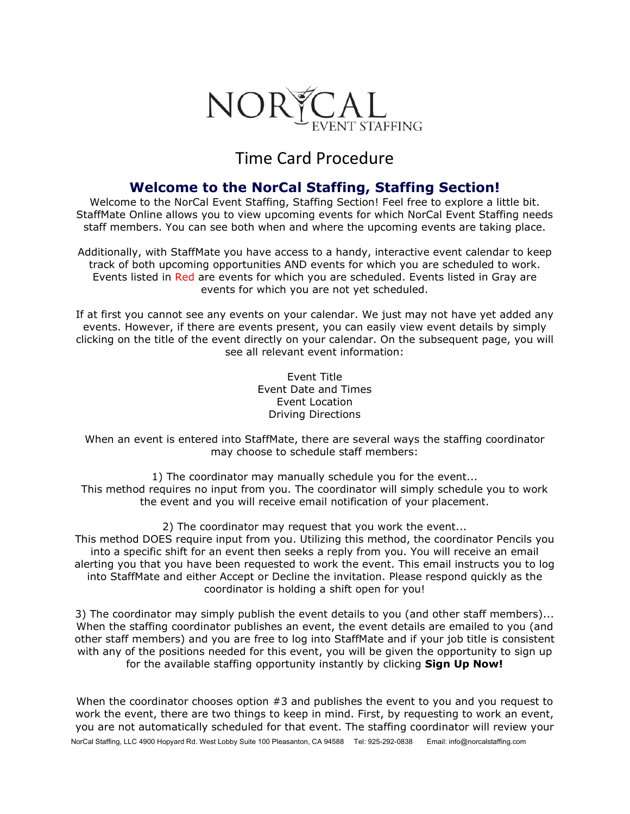

## Time Card Procedure

## **Welcome to the NorCal Staffing, Staffing Section!**

Welcome to the NorCal Event Staffing, Staffing Section! Feel free to explore a little bit. StaffMate Online allows you to view upcoming events for which NorCal Event Staffing needs staff members. You can see both when and where the upcoming events are taking place.

Additionally, with StaffMate you have access to a handy, interactive event calendar to keep track of both upcoming opportunities AND events for which you are scheduled to work. Events listed in Red are events for which you are scheduled. Events listed in Gray are events for which you are not yet scheduled.

If at first you cannot see any events on your calendar. We just may not have yet added any events. However, if there are events present, you can easily view event details by simply clicking on the title of the event directly on your calendar. On the subsequent page, you will see all relevant event information:

> Event Title Event Date and Times Event Location Driving Directions

When an event is entered into StaffMate, there are several ways the staffing coordinator may choose to schedule staff members:

1) The coordinator may manually schedule you for the event... This method requires no input from you. The coordinator will simply schedule you to work the event and you will receive email notification of your placement.

2) The coordinator may request that you work the event... This method DOES require input from you. Utilizing this method, the coordinator Pencils you into a specific shift for an event then seeks a reply from you. You will receive an email alerting you that you have been requested to work the event. This email instructs you to log into StaffMate and either Accept or Decline the invitation. Please respond quickly as the coordinator is holding a shift open for you!

3) The coordinator may simply publish the event details to you (and other staff members)... When the staffing coordinator publishes an event, the event details are emailed to you (and other staff members) and you are free to log into StaffMate and if your job title is consistent with any of the positions needed for this event, you will be given the opportunity to sign up for the available staffing opportunity instantly by clicking **Sign Up Now!**

NorCal Staffing, LLC 4900 Hopyard Rd. West Lobby Suite 100 Pleasanton, CA 94588 Tel: 925-292-0838 Email: info@norcalstaffing.com When the coordinator chooses option #3 and publishes the event to you and you request to work the event, there are two things to keep in mind. First, by requesting to work an event, you are not automatically scheduled for that event. The staffing coordinator will review your